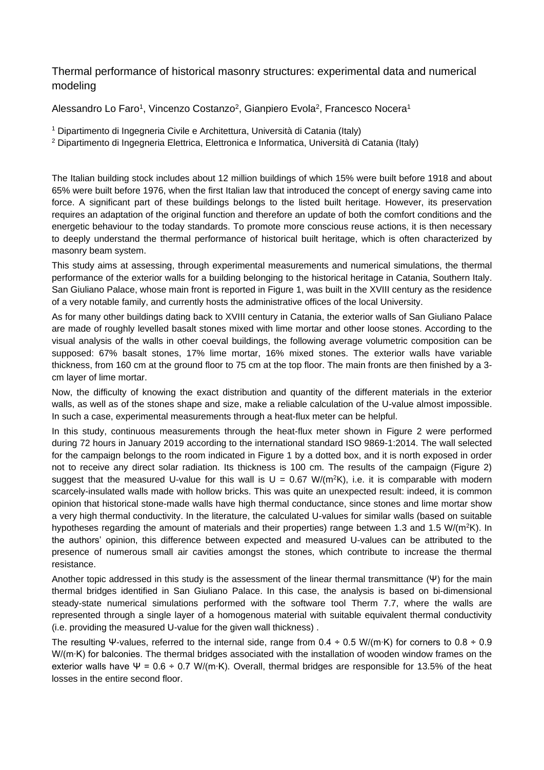## Thermal performance of historical masonry structures: experimental data and numerical modeling

Alessandro Lo Faro<sup>1</sup>, Vincenzo Costanzo<sup>2</sup>, Gianpiero Evola<sup>2</sup>, Francesco Nocera<sup>1</sup>

- <sup>1</sup> Dipartimento di Ingegneria Civile e Architettura, Università di Catania (Italy)
- <sup>2</sup> Dipartimento di Ingegneria Elettrica, Elettronica e Informatica, Università di Catania (Italy)

The Italian building stock includes about 12 million buildings of which 15% were built before 1918 and about 65% were built before 1976, when the first Italian law that introduced the concept of energy saving came into force. A significant part of these buildings belongs to the listed built heritage. However, its preservation requires an adaptation of the original function and therefore an update of both the comfort conditions and the energetic behaviour to the today standards. To promote more conscious reuse actions, it is then necessary to deeply understand the thermal performance of historical built heritage, which is often characterized by masonry beam system.

This study aims at assessing, through experimental measurements and numerical simulations, the thermal performance of the exterior walls for a building belonging to the historical heritage in Catania, Southern Italy. San Giuliano Palace, whose main front is reported in Figure 1, was built in the XVIII century as the residence of a very notable family, and currently hosts the administrative offices of the local University.

As for many other buildings dating back to XVIII century in Catania, the exterior walls of San Giuliano Palace are made of roughly levelled basalt stones mixed with lime mortar and other loose stones. According to the visual analysis of the walls in other coeval buildings, the following average volumetric composition can be supposed: 67% basalt stones, 17% lime mortar, 16% mixed stones. The exterior walls have variable thickness, from 160 cm at the ground floor to 75 cm at the top floor. The main fronts are then finished by a 3 cm layer of lime mortar.

Now, the difficulty of knowing the exact distribution and quantity of the different materials in the exterior walls, as well as of the stones shape and size, make a reliable calculation of the U-value almost impossible. In such a case, experimental measurements through a heat-flux meter can be helpful.

In this study, continuous measurements through the heat-flux meter shown in Figure 2 were performed during 72 hours in January 2019 according to the international standard ISO 9869-1:2014. The wall selected for the campaign belongs to the room indicated in Figure 1 by a dotted box, and it is north exposed in order not to receive any direct solar radiation. Its thickness is 100 cm. The results of the campaign (Figure 2) suggest that the measured U-value for this wall is  $U = 0.67$  W/(m<sup>2</sup>K), i.e. it is comparable with modern scarcely-insulated walls made with hollow bricks. This was quite an unexpected result: indeed, it is common opinion that historical stone-made walls have high thermal conductance, since stones and lime mortar show a very high thermal conductivity. In the literature, the calculated U-values for similar walls (based on suitable hypotheses regarding the amount of materials and their properties) range between 1.3 and 1.5 W/( $m<sup>2</sup>K$ ). In the authors' opinion, this difference between expected and measured U-values can be attributed to the presence of numerous small air cavities amongst the stones, which contribute to increase the thermal resistance.

Another topic addressed in this study is the assessment of the linear thermal transmittance (Ψ) for the main thermal bridges identified in San Giuliano Palace. In this case, the analysis is based on bi-dimensional steady-state numerical simulations performed with the software tool Therm 7.7, where the walls are represented through a single layer of a homogenous material with suitable equivalent thermal conductivity (i.e. providing the measured U-value for the given wall thickness) .

The resulting Ψ-values, referred to the internal side, range from 0.4 ÷ 0.5 W/(m∙K) for corners to 0.8 ÷ 0.9 W/(m∙K) for balconies. The thermal bridges associated with the installation of wooden window frames on the exterior walls have Ψ =  $0.6 \div 0.7$  W/(m⋅K). Overall, thermal bridges are responsible for 13.5% of the heat losses in the entire second floor.